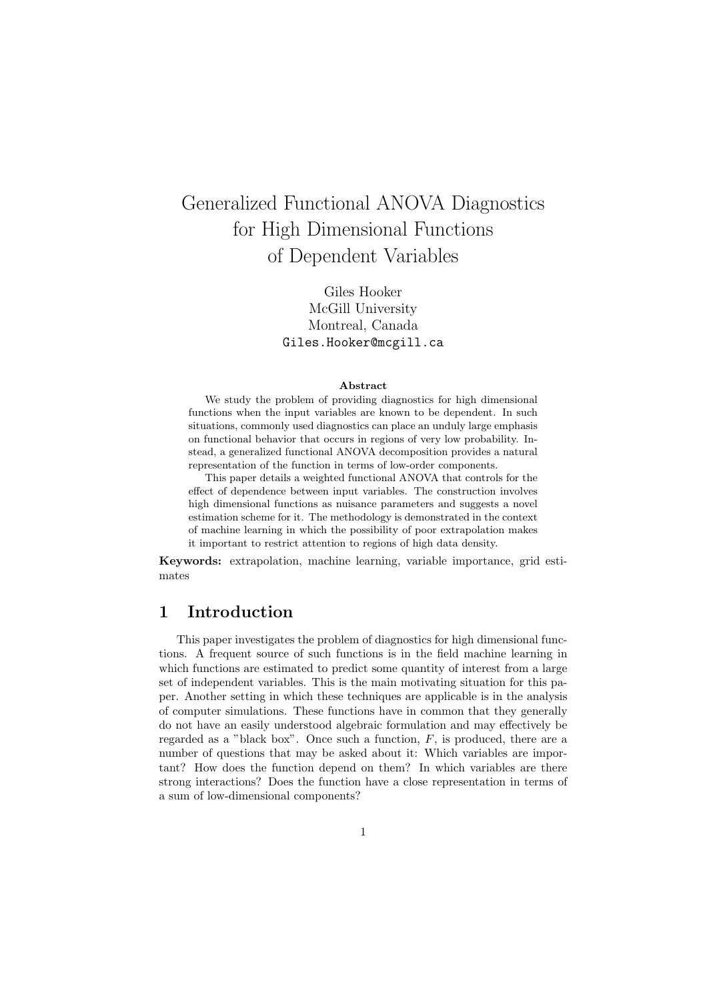# Generalized Functional ANOVA Diagnostics for High Dimensional Functions of Dependent Variables

Giles Hooker McGill University Montreal, Canada Giles.Hooker@mcgill.ca

#### Abstract

We study the problem of providing diagnostics for high dimensional functions when the input variables are known to be dependent. In such situations, commonly used diagnostics can place an unduly large emphasis on functional behavior that occurs in regions of very low probability. Instead, a generalized functional ANOVA decomposition provides a natural representation of the function in terms of low-order components.

This paper details a weighted functional ANOVA that controls for the effect of dependence between input variables. The construction involves high dimensional functions as nuisance parameters and suggests a novel estimation scheme for it. The methodology is demonstrated in the context of machine learning in which the possibility of poor extrapolation makes it important to restrict attention to regions of high data density.

Keywords: extrapolation, machine learning, variable importance, grid estimates

# 1 Introduction

This paper investigates the problem of diagnostics for high dimensional functions. A frequent source of such functions is in the field machine learning in which functions are estimated to predict some quantity of interest from a large set of independent variables. This is the main motivating situation for this paper. Another setting in which these techniques are applicable is in the analysis of computer simulations. These functions have in common that they generally do not have an easily understood algebraic formulation and may effectively be regarded as a "black box". Once such a function,  $F$ , is produced, there are a number of questions that may be asked about it: Which variables are important? How does the function depend on them? In which variables are there strong interactions? Does the function have a close representation in terms of a sum of low-dimensional components?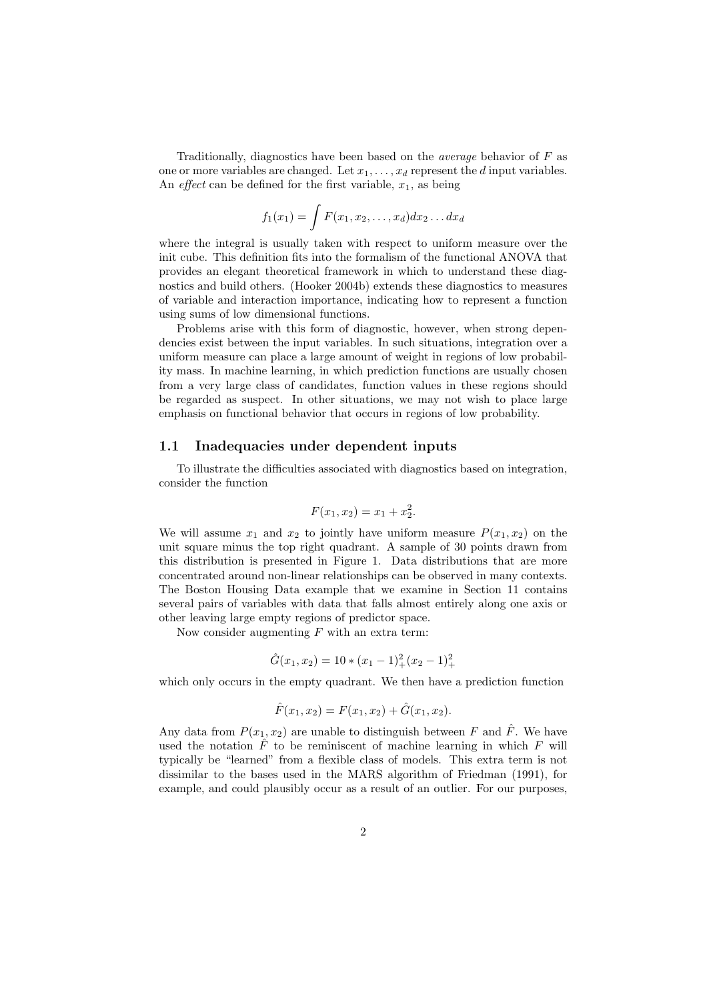Traditionally, diagnostics have been based on the *average* behavior of  $F$  as one or more variables are changed. Let  $x_1, \ldots, x_d$  represent the d input variables. An *effect* can be defined for the first variable,  $x_1$ , as being

$$
f_1(x_1) = \int F(x_1, x_2, \dots, x_d) dx_2 \dots dx_d
$$

where the integral is usually taken with respect to uniform measure over the init cube. This definition fits into the formalism of the functional ANOVA that provides an elegant theoretical framework in which to understand these diagnostics and build others. (Hooker 2004b) extends these diagnostics to measures of variable and interaction importance, indicating how to represent a function using sums of low dimensional functions.

Problems arise with this form of diagnostic, however, when strong dependencies exist between the input variables. In such situations, integration over a uniform measure can place a large amount of weight in regions of low probability mass. In machine learning, in which prediction functions are usually chosen from a very large class of candidates, function values in these regions should be regarded as suspect. In other situations, we may not wish to place large emphasis on functional behavior that occurs in regions of low probability.

#### 1.1 Inadequacies under dependent inputs

To illustrate the difficulties associated with diagnostics based on integration, consider the function

$$
F(x_1, x_2) = x_1 + x_2^2.
$$

We will assume  $x_1$  and  $x_2$  to jointly have uniform measure  $P(x_1, x_2)$  on the unit square minus the top right quadrant. A sample of 30 points drawn from this distribution is presented in Figure 1. Data distributions that are more concentrated around non-linear relationships can be observed in many contexts. The Boston Housing Data example that we examine in Section 11 contains several pairs of variables with data that falls almost entirely along one axis or other leaving large empty regions of predictor space.

Now consider augmenting  $F$  with an extra term:

$$
\hat{G}(x_1, x_2) = 10 \times (x_1 - 1)^2_+(x_2 - 1)^2_+
$$

which only occurs in the empty quadrant. We then have a prediction function

$$
\hat{F}(x_1, x_2) = F(x_1, x_2) + \hat{G}(x_1, x_2).
$$

Any data from  $P(x_1, x_2)$  are unable to distinguish between F and  $\hat{F}$ . We have used the notation  $\hat{F}$  to be reminiscent of machine learning in which  $F$  will typically be "learned" from a flexible class of models. This extra term is not dissimilar to the bases used in the MARS algorithm of Friedman (1991), for example, and could plausibly occur as a result of an outlier. For our purposes,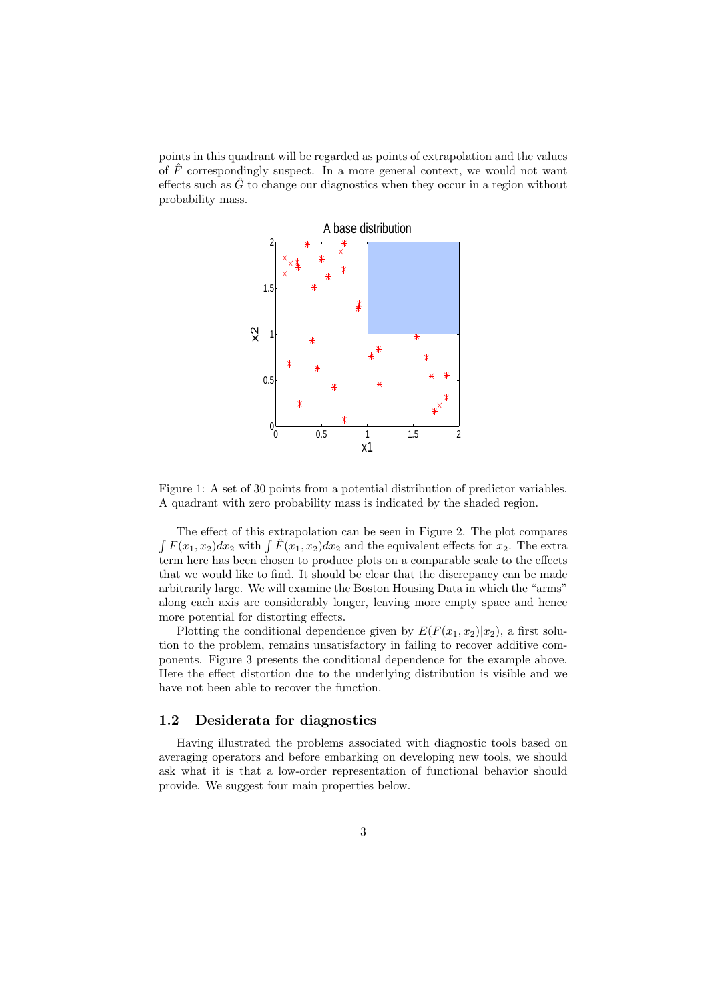points in this quadrant will be regarded as points of extrapolation and the values of  $\hat{F}$  correspondingly suspect. In a more general context, we would not want effects such as  $\hat{G}$  to change our diagnostics when they occur in a region without probability mass.



Figure 1: A set of 30 points from a potential distribution of predictor variables. A quadrant with zero probability mass is indicated by the shaded region.

The effect of this extrapolation can be seen in Figure 2. The plot compares The effect of this extrapolation can be seen in Figure 2. The plot compares<br> $\int F(x_1, x_2)dx_2$  with  $\int \hat{F}(x_1, x_2)dx_2$  and the equivalent effects for  $x_2$ . The extra term here has been chosen to produce plots on a comparable scale to the effects that we would like to find. It should be clear that the discrepancy can be made arbitrarily large. We will examine the Boston Housing Data in which the "arms" along each axis are considerably longer, leaving more empty space and hence more potential for distorting effects.

Plotting the conditional dependence given by  $E(F(x_1, x_2)|x_2)$ , a first solution to the problem, remains unsatisfactory in failing to recover additive components. Figure 3 presents the conditional dependence for the example above. Here the effect distortion due to the underlying distribution is visible and we have not been able to recover the function.

#### 1.2 Desiderata for diagnostics

Having illustrated the problems associated with diagnostic tools based on averaging operators and before embarking on developing new tools, we should ask what it is that a low-order representation of functional behavior should provide. We suggest four main properties below.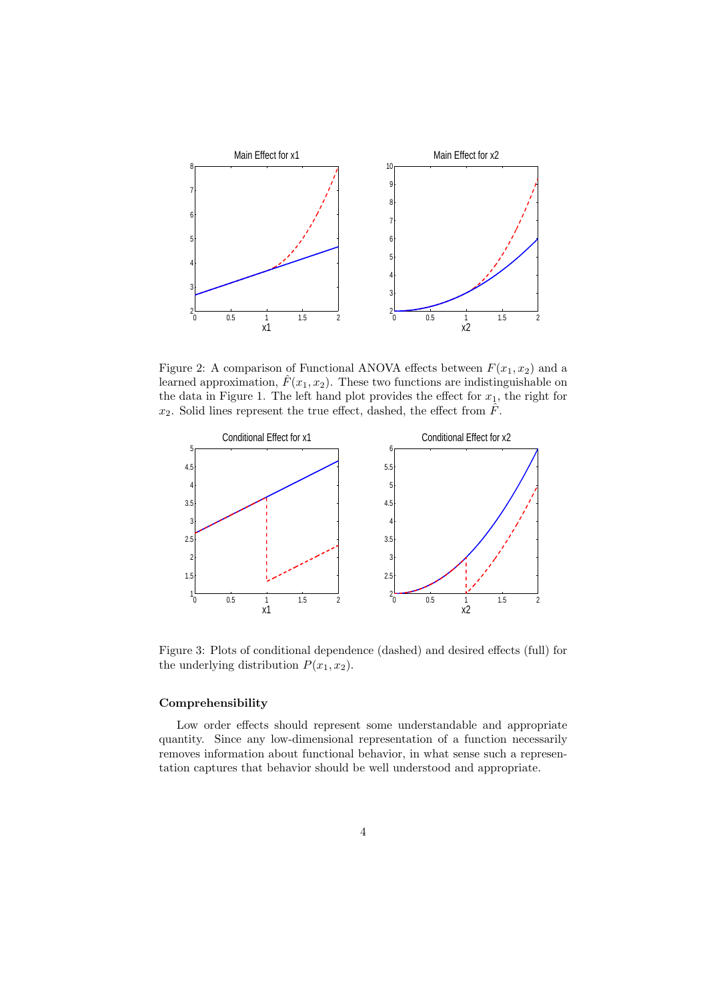

Figure 2: A comparison of Functional ANOVA effects between  $F(x_1, x_2)$  and a learned approximation,  $\hat{F}(x_1, x_2)$ . These two functions are indistinguishable on the data in Figure 1. The left hand plot provides the effect for  $x_1$ , the right for  $x_2$ . Solid lines represent the true effect, dashed, the effect from  $\hat{F}$ .



Figure 3: Plots of conditional dependence (dashed) and desired effects (full) for the underlying distribution  $P(x_1, x_2)$ .

#### Comprehensibility

Low order effects should represent some understandable and appropriate quantity. Since any low-dimensional representation of a function necessarily removes information about functional behavior, in what sense such a representation captures that behavior should be well understood and appropriate.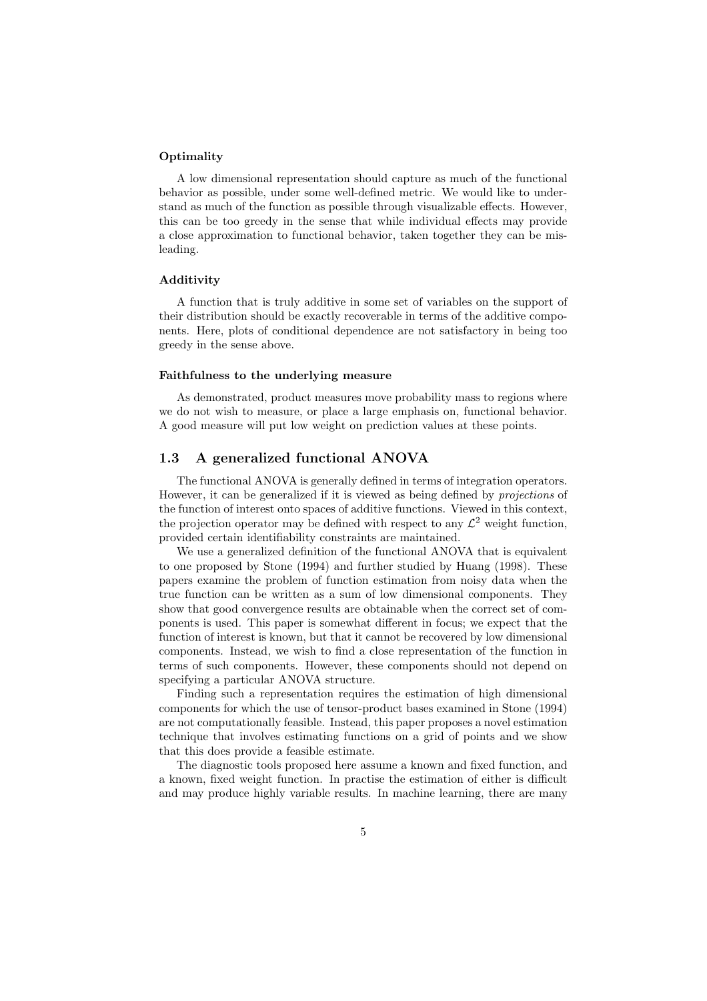#### **Optimality**

A low dimensional representation should capture as much of the functional behavior as possible, under some well-defined metric. We would like to understand as much of the function as possible through visualizable effects. However, this can be too greedy in the sense that while individual effects may provide a close approximation to functional behavior, taken together they can be misleading.

#### Additivity

A function that is truly additive in some set of variables on the support of their distribution should be exactly recoverable in terms of the additive components. Here, plots of conditional dependence are not satisfactory in being too greedy in the sense above.

#### Faithfulness to the underlying measure

As demonstrated, product measures move probability mass to regions where we do not wish to measure, or place a large emphasis on, functional behavior. A good measure will put low weight on prediction values at these points.

#### 1.3 A generalized functional ANOVA

The functional ANOVA is generally defined in terms of integration operators. However, it can be generalized if it is viewed as being defined by projections of the function of interest onto spaces of additive functions. Viewed in this context, the projection operator may be defined with respect to any  $\mathcal{L}^2$  weight function, provided certain identifiability constraints are maintained.

We use a generalized definition of the functional ANOVA that is equivalent to one proposed by Stone (1994) and further studied by Huang (1998). These papers examine the problem of function estimation from noisy data when the true function can be written as a sum of low dimensional components. They show that good convergence results are obtainable when the correct set of components is used. This paper is somewhat different in focus; we expect that the function of interest is known, but that it cannot be recovered by low dimensional components. Instead, we wish to find a close representation of the function in terms of such components. However, these components should not depend on specifying a particular ANOVA structure.

Finding such a representation requires the estimation of high dimensional components for which the use of tensor-product bases examined in Stone (1994) are not computationally feasible. Instead, this paper proposes a novel estimation technique that involves estimating functions on a grid of points and we show that this does provide a feasible estimate.

The diagnostic tools proposed here assume a known and fixed function, and a known, fixed weight function. In practise the estimation of either is difficult and may produce highly variable results. In machine learning, there are many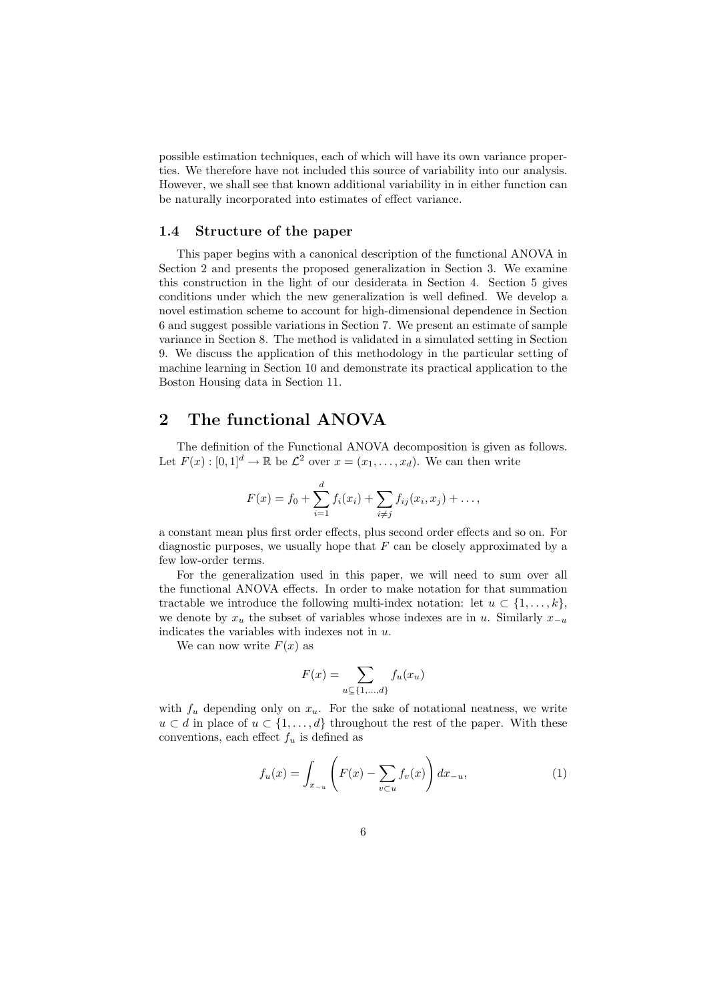possible estimation techniques, each of which will have its own variance properties. We therefore have not included this source of variability into our analysis. However, we shall see that known additional variability in in either function can be naturally incorporated into estimates of effect variance.

#### 1.4 Structure of the paper

This paper begins with a canonical description of the functional ANOVA in Section 2 and presents the proposed generalization in Section 3. We examine this construction in the light of our desiderata in Section 4. Section 5 gives conditions under which the new generalization is well defined. We develop a novel estimation scheme to account for high-dimensional dependence in Section 6 and suggest possible variations in Section 7. We present an estimate of sample variance in Section 8. The method is validated in a simulated setting in Section 9. We discuss the application of this methodology in the particular setting of machine learning in Section 10 and demonstrate its practical application to the Boston Housing data in Section 11.

### 2 The functional ANOVA

The definition of the Functional ANOVA decomposition is given as follows. Let  $F(x): [0,1]^d \to \mathbb{R}$  be  $\mathcal{L}^2$  over  $x = (x_1, \ldots, x_d)$ . We can then write

$$
F(x) = f_0 + \sum_{i=1}^d f_i(x_i) + \sum_{i \neq j} f_{ij}(x_i, x_j) + \dots,
$$

a constant mean plus first order effects, plus second order effects and so on. For diagnostic purposes, we usually hope that  $F$  can be closely approximated by a few low-order terms.

For the generalization used in this paper, we will need to sum over all the functional ANOVA effects. In order to make notation for that summation tractable we introduce the following multi-index notation: let  $u \subset \{1, \ldots, k\}$ , we denote by  $x_u$  the subset of variables whose indexes are in u. Similarly  $x_{-u}$ indicates the variables with indexes not in u.

We can now write  $F(x)$  as

$$
F(x) = \sum_{u \subseteq \{1, \dots, d\}} f_u(x_u)
$$

with  $f_u$  depending only on  $x_u$ . For the sake of notational neatness, we write  $u \subset d$  in place of  $u \subset \{1, \ldots, d\}$  throughout the rest of the paper. With these conventions, each effect  $f_u$  is defined as

$$
f_u(x) = \int_{x_{-u}} \left( F(x) - \sum_{v \subset u} f_v(x) \right) dx_{-u}, \tag{1}
$$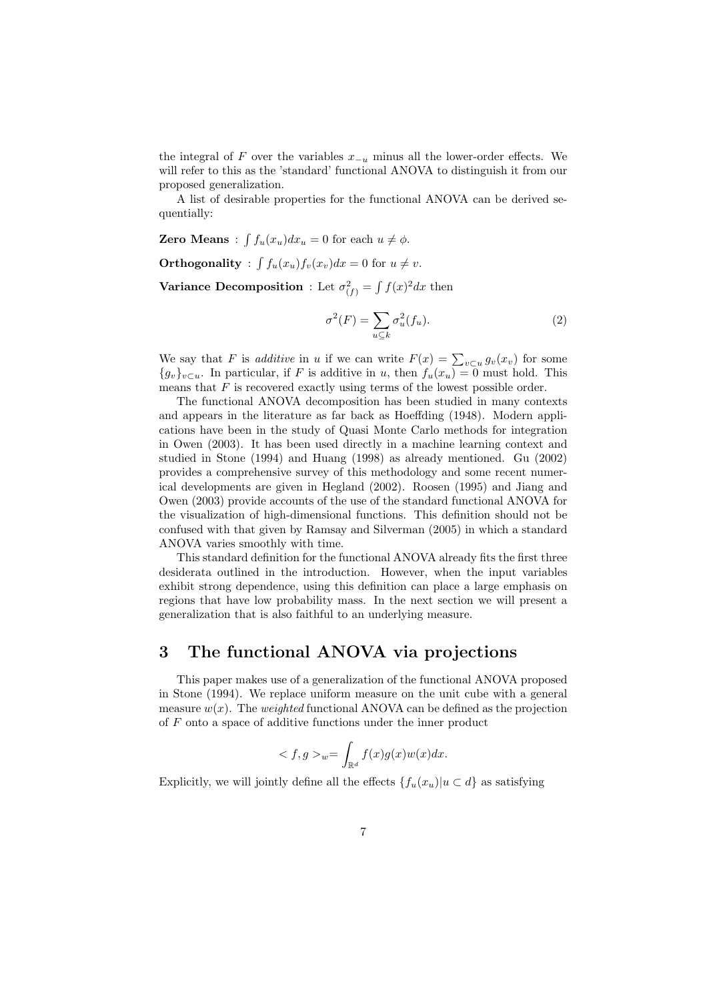the integral of F over the variables  $x_{-u}$  minus all the lower-order effects. We will refer to this as the 'standard' functional ANOVA to distinguish it from our proposed generalization.

A list of desirable properties for the functional ANOVA can be derived sequentially:

Zero Means : R  $f_u(x_u)dx_u = 0$  for each  $u \neq \phi$ .

Orthogonality : R  $f_u(x_u)f_v(x_v)dx = 0$  for  $u \neq v$ .

Variance Decomposition : Let  $\sigma_{(f)}^2 =$ R  $f(x)^2 dx$  then

$$
\sigma^2(F) = \sum_{u \subseteq k} \sigma_u^2(f_u). \tag{2}
$$

We say that F is *additive* in u if we can write  $F(x) = \sum_{v \subset u} g_v(x_v)$  for some  ${g_v}_{v \subset u}$ . In particular, if F is additive in u, then  $f_u(x_u) = 0$  must hold. This means that  $F$  is recovered exactly using terms of the lowest possible order.

The functional ANOVA decomposition has been studied in many contexts and appears in the literature as far back as Hoeffding (1948). Modern applications have been in the study of Quasi Monte Carlo methods for integration in Owen (2003). It has been used directly in a machine learning context and studied in Stone (1994) and Huang (1998) as already mentioned. Gu (2002) provides a comprehensive survey of this methodology and some recent numerical developments are given in Hegland (2002). Roosen (1995) and Jiang and Owen (2003) provide accounts of the use of the standard functional ANOVA for the visualization of high-dimensional functions. This definition should not be confused with that given by Ramsay and Silverman (2005) in which a standard ANOVA varies smoothly with time.

This standard definition for the functional ANOVA already fits the first three desiderata outlined in the introduction. However, when the input variables exhibit strong dependence, using this definition can place a large emphasis on regions that have low probability mass. In the next section we will present a generalization that is also faithful to an underlying measure.

# 3 The functional ANOVA via projections

This paper makes use of a generalization of the functional ANOVA proposed in Stone (1994). We replace uniform measure on the unit cube with a general measure  $w(x)$ . The *weighted* functional ANOVA can be defined as the projection of F onto a space of additive functions under the inner product

$$
\langle f, g \rangle_{w} = \int_{\mathbb{R}^d} f(x)g(x)w(x)dx.
$$

Explicitly, we will jointly define all the effects  $\{f_u(x_u)|u \subset d\}$  as satisfying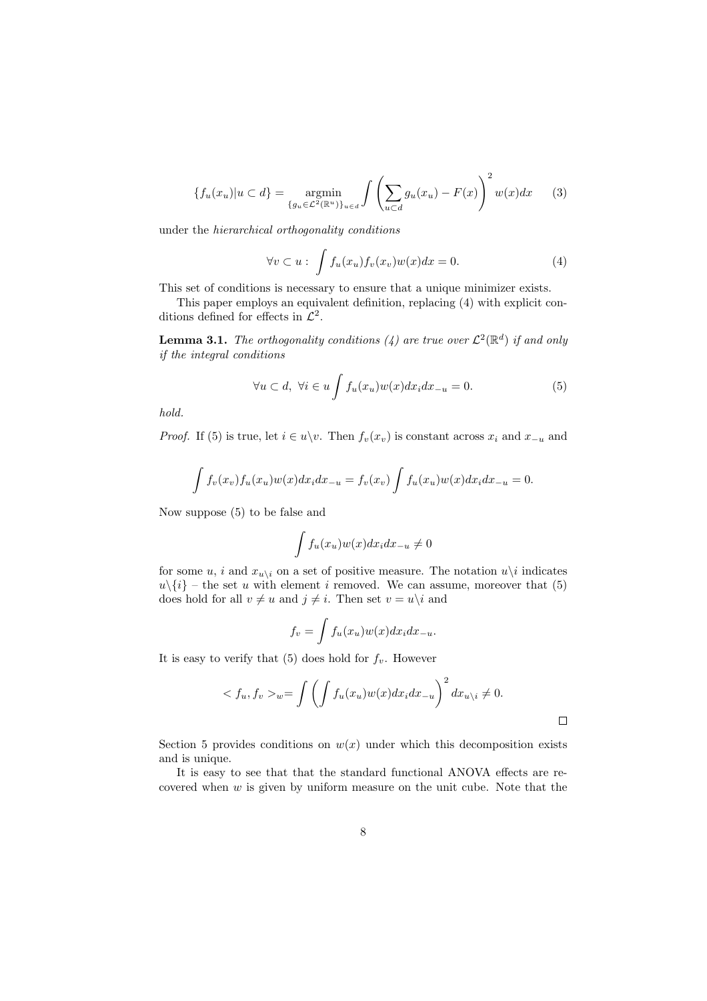$$
\{f_u(x_u)|u \subset d\} = \underset{\{g_u \in \mathcal{L}^2(\mathbb{R}^u)\}_{u \in d}}{\text{argmin}} \int \left(\sum_{u \subset d} g_u(x_u) - F(x)\right)^2 w(x) dx \qquad (3)
$$

under the hierarchical orthogonality conditions

$$
\forall v \subset u: \int f_u(x_u) f_v(x_v) w(x) dx = 0.
$$
 (4)

This set of conditions is necessary to ensure that a unique minimizer exists.

This paper employs an equivalent definition, replacing (4) with explicit conditions defined for effects in  $\mathcal{L}^2$ .

**Lemma 3.1.** The orthogonality conditions (4) are true over  $\mathcal{L}^2(\mathbb{R}^d)$  if and only if the integral conditions

$$
\forall u \subset d, \ \forall i \in u \int f_u(x_u) w(x) dx_i dx_{-u} = 0. \tag{5}
$$

hold.

*Proof.* If (5) is true, let  $i \in u\$ v. Then  $f_v(x_v)$  is constant across  $x_i$  and  $x_{-u}$  and

$$
\int f_v(x_v) f_u(x_u) w(x) dx_i dx_{-u} = f_v(x_v) \int f_u(x_u) w(x) dx_i dx_{-u} = 0.
$$

Now suppose (5) to be false and

$$
\int f_u(x_u)w(x)dx_idx_{-u} \neq 0
$$

for some u, i and  $x_{u\setminus i}$  on a set of positive measure. The notation  $u\setminus i$  indicates  $u\setminus\{i\}$  – the set u with element i removed. We can assume, moreover that (5) does hold for all  $v \neq u$  and  $j \neq i$ . Then set  $v = u\backslash i$  and

$$
f_v = \int f_u(x_u) w(x) dx_i dx_{-u}.
$$

It is easy to verify that (5) does hold for  $f_v$ . However

$$
\langle f_u, f_v \rangle_w = \int \left( \int f_u(x_u) w(x) dx_i dx_{-u} \right)^2 dx_{u \setminus i} \neq 0.
$$

Section 5 provides conditions on  $w(x)$  under which this decomposition exists and is unique.

It is easy to see that that the standard functional ANOVA effects are recovered when  $w$  is given by uniform measure on the unit cube. Note that the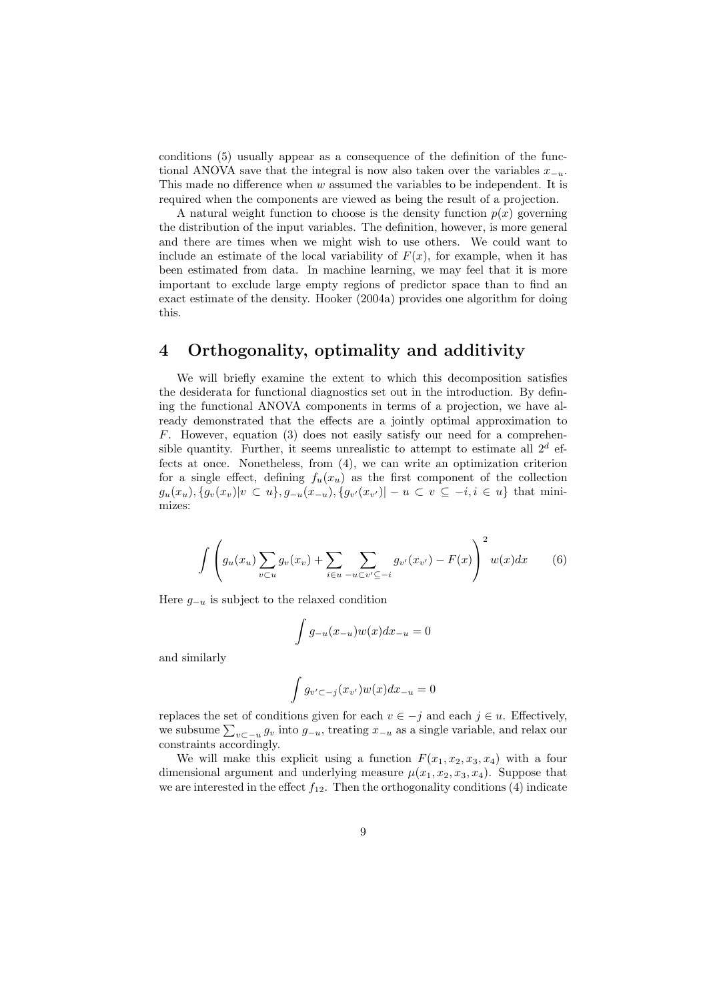conditions (5) usually appear as a consequence of the definition of the functional ANOVA save that the integral is now also taken over the variables  $x_{-u}$ . This made no difference when w assumed the variables to be independent. It is required when the components are viewed as being the result of a projection.

A natural weight function to choose is the density function  $p(x)$  governing the distribution of the input variables. The definition, however, is more general and there are times when we might wish to use others. We could want to include an estimate of the local variability of  $F(x)$ , for example, when it has been estimated from data. In machine learning, we may feel that it is more important to exclude large empty regions of predictor space than to find an exact estimate of the density. Hooker (2004a) provides one algorithm for doing this.

# 4 Orthogonality, optimality and additivity

We will briefly examine the extent to which this decomposition satisfies the desiderata for functional diagnostics set out in the introduction. By defining the functional ANOVA components in terms of a projection, we have already demonstrated that the effects are a jointly optimal approximation to F. However, equation (3) does not easily satisfy our need for a comprehensible quantity. Further, it seems unrealistic to attempt to estimate all  $2^d$  effects at once. Nonetheless, from (4), we can write an optimization criterion for a single effect, defining  $f_u(x_u)$  as the first component of the collection  $g_u(x_u), \{g_v(x_v)|v\subset u\}, g_{-u}(x_{-u}), \{g_{v'}(x_{v'})|-u\subset v\subseteq -i, i\in u\}$  that minimizes:

$$
\int \left( g_u(x_u) \sum_{v \subset u} g_v(x_v) + \sum_{i \in u} \sum_{-u \subset v' \subseteq -i} g_{v'}(x_{v'}) - F(x) \right)^2 w(x) dx \qquad (6)
$$

Here  $g_{-u}$  is subject to the relaxed condition

$$
\int g_{-u}(x_{-u})w(x)dx_{-u} = 0
$$

and similarly

$$
\int g_{v' \subset -j}(x_{v'})w(x)dx_{-u} = 0
$$

replaces the set of conditions given for each  $v \in -j$  and each  $j \in u$ . Effectively, replaces the set of conditions given for each  $v \in -j$  and each  $j \in u$ . Enectively,<br>we subsume  $\sum_{v \subset -u} g_v$  into  $g_{-u}$ , treating  $x_{-u}$  as a single variable, and relax our constraints accordingly.

We will make this explicit using a function  $F(x_1, x_2, x_3, x_4)$  with a four dimensional argument and underlying measure  $\mu(x_1, x_2, x_3, x_4)$ . Suppose that we are interested in the effect  $f_{12}$ . Then the orthogonality conditions (4) indicate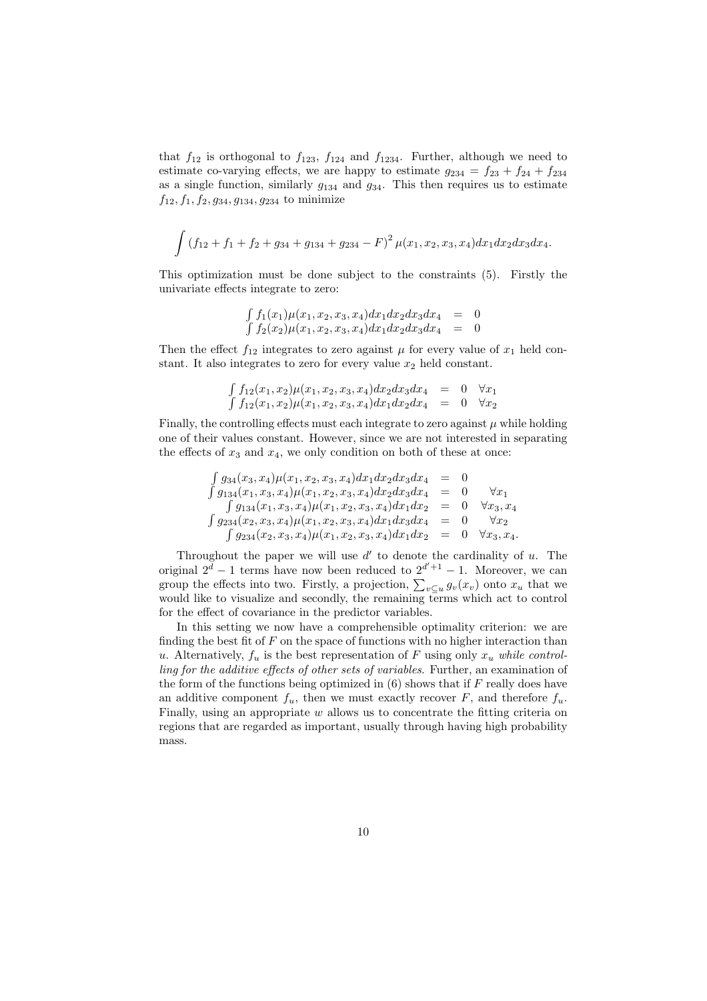that  $f_{12}$  is orthogonal to  $f_{123}$ ,  $f_{124}$  and  $f_{1234}$ . Further, although we need to estimate co-varying effects, we are happy to estimate  $g_{234} = f_{23} + f_{24} + f_{234}$ as a single function, similarly  $g_{134}$  and  $g_{34}$ . This then requires us to estimate  $f_{12}, f_1, f_2, g_{34}, g_{134}, g_{234}$  to minimize

$$
\int (f_{12} + f_1 + f_2 + g_{34} + g_{134} + g_{234} - F)^2 \mu(x_1, x_2, x_3, x_4) dx_1 dx_2 dx_3 dx_4.
$$

This optimization must be done subject to the constraints (5). Firstly the univariate effects integrate to zero:

$$
\int f_1(x_1)\mu(x_1, x_2, x_3, x_4)dx_1dx_2dx_3dx_4 = 0
$$
  

$$
\int f_2(x_2)\mu(x_1, x_2, x_3, x_4)dx_1dx_2dx_3dx_4 = 0
$$

Then the effect  $f_{12}$  integrates to zero against  $\mu$  for every value of  $x_1$  held constant. It also integrates to zero for every value  $x_2$  held constant.

$$
\int f_{12}(x_1, x_2) \mu(x_1, x_2, x_3, x_4) dx_2 dx_3 dx_4 = 0 \quad \forall x_1
$$
  

$$
\int f_{12}(x_1, x_2) \mu(x_1, x_2, x_3, x_4) dx_1 dx_2 dx_4 = 0 \quad \forall x_2
$$

Finally, the controlling effects must each integrate to zero against  $\mu$  while holding one of their values constant. However, since we are not interested in separating the effects of  $x_3$  and  $x_4$ , we only condition on both of these at once:

$$
\begin{array}{rcl}\n\int g_{34}(x_3, x_4) \mu(x_1, x_2, x_3, x_4) dx_1 dx_2 dx_3 dx_4 & = & 0 \\
\int g_{134}(x_1, x_3, x_4) \mu(x_1, x_2, x_3, x_4) dx_2 dx_3 dx_4 & = & 0 \quad \forall x_1 \\
\int g_{134}(x_1, x_3, x_4) \mu(x_1, x_2, x_3, x_4) dx_1 dx_2 & = & 0 \quad \forall x_3, x_4 \\
\int g_{234}(x_2, x_3, x_4) \mu(x_1, x_2, x_3, x_4) dx_1 dx_3 dx_4 & = & 0 \quad \forall x_2 \\
\int g_{234}(x_2, x_3, x_4) \mu(x_1, x_2, x_3, x_4) dx_1 dx_2 & = & 0 \quad \forall x_3, x_4.\n\end{array}
$$

Throughout the paper we will use  $d'$  to denote the cardinality of u. The original  $2^d - 1$  terms have now been reduced to  $2^{d'+1} - 1$ . Moreover, we can group the effects into two. Firstly, a projection,  $\sum_{v \subseteq u} g_v(x_v)$  onto  $x_u$  that we group would like to visualize and secondly, the remaining terms which act to control for the effect of covariance in the predictor variables.

In this setting we now have a comprehensible optimality criterion: we are finding the best fit of  $F$  on the space of functions with no higher interaction than u. Alternatively,  $f_u$  is the best representation of F using only  $x_u$  while controlling for the additive effects of other sets of variables. Further, an examination of the form of the functions being optimized in  $(6)$  shows that if  $F$  really does have an additive component  $f_u$ , then we must exactly recover F, and therefore  $f_u$ . Finally, using an appropriate  $w$  allows us to concentrate the fitting criteria on regions that are regarded as important, usually through having high probability mass.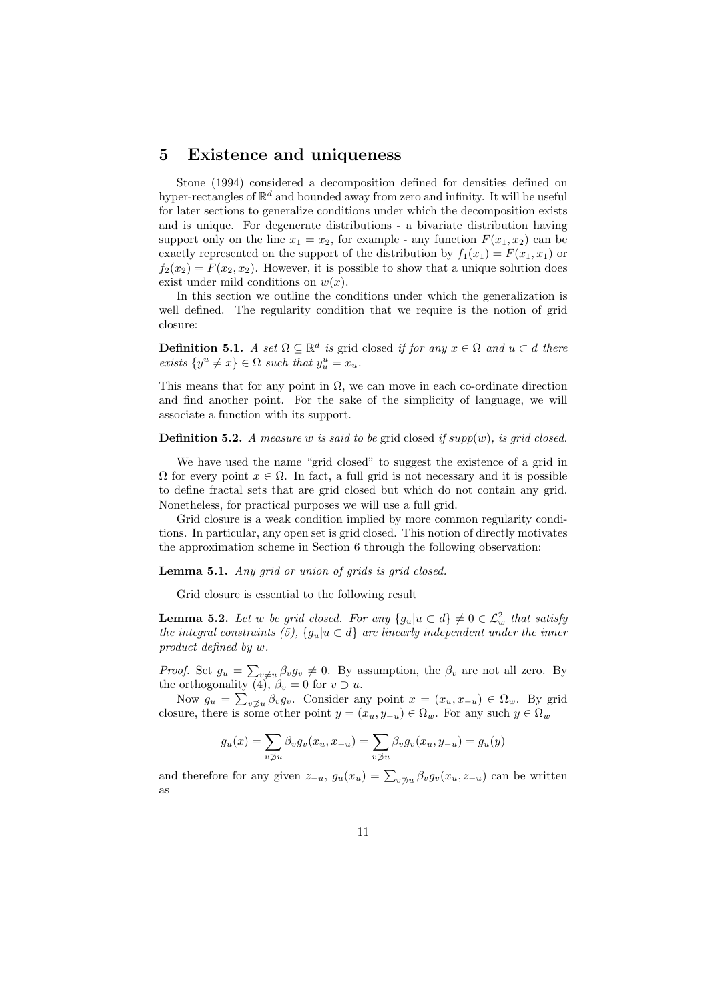### 5 Existence and uniqueness

Stone (1994) considered a decomposition defined for densities defined on hyper-rectangles of  $\mathbb{R}^d$  and bounded away from zero and infinity. It will be useful for later sections to generalize conditions under which the decomposition exists and is unique. For degenerate distributions - a bivariate distribution having support only on the line  $x_1 = x_2$ , for example - any function  $F(x_1, x_2)$  can be exactly represented on the support of the distribution by  $f_1(x_1) = F(x_1, x_1)$  or  $f_2(x_2) = F(x_2, x_2)$ . However, it is possible to show that a unique solution does exist under mild conditions on  $w(x)$ .

In this section we outline the conditions under which the generalization is well defined. The regularity condition that we require is the notion of grid closure:

**Definition 5.1.** A set  $\Omega \subseteq \mathbb{R}^d$  is grid closed if for any  $x \in \Omega$  and  $u \subset d$  there exists  $\{y^u \neq x\} \in \Omega$  such that  $y^u_u = x_u$ .

This means that for any point in  $\Omega$ , we can move in each co-ordinate direction and find another point. For the sake of the simplicity of language, we will associate a function with its support.

#### **Definition 5.2.** A measure w is said to be grid closed if  $supp(w)$ , is grid closed.

We have used the name "grid closed" to suggest the existence of a grid in  $\Omega$  for every point  $x \in \Omega$ . In fact, a full grid is not necessary and it is possible to define fractal sets that are grid closed but which do not contain any grid. Nonetheless, for practical purposes we will use a full grid.

Grid closure is a weak condition implied by more common regularity conditions. In particular, any open set is grid closed. This notion of directly motivates the approximation scheme in Section 6 through the following observation:

Lemma 5.1. Any grid or union of grids is grid closed.

Grid closure is essential to the following result

**Lemma 5.2.** Let w be grid closed. For any  $\{g_u | u \subset d\} \neq 0 \in \mathcal{L}^2_w$  that satisfy the integral constraints (5),  $\{g_u | u \subset d\}$  are linearly independent under the inner product defined by w.

Proof. Set  $g_u = \sum$  $v \neq u$   $\beta_v g_v \neq 0$ . By assumption, the  $\beta_v$  are not all zero. By the orthogonality (4),  $\beta_v = 0$  for  $v \supset u$ .

orthogonality<br>Now  $g_u = \sum$  $v\mathcal{Z}_u$   $\beta_v g_v$ . Consider any point  $x = (x_u, x_{-u}) \in \Omega_w$ . By grid closure, there is some other point  $y = (x_u, y_{-u}) \in \Omega_w$ . For any such  $y \in \Omega_w$ 

$$
g_u(x) = \sum_{v \not\supset u} \beta_v g_v(x_u, x_{-u}) = \sum_{v \not\supset u} \beta_v g_v(x_u, y_{-u}) = g_u(y)
$$

and therefore for any given  $z_{-u}$ ,  $g_u(x_u) = \sum_{v \not\supset u} \beta_v g_v(x_u, z_{-u})$  can be written as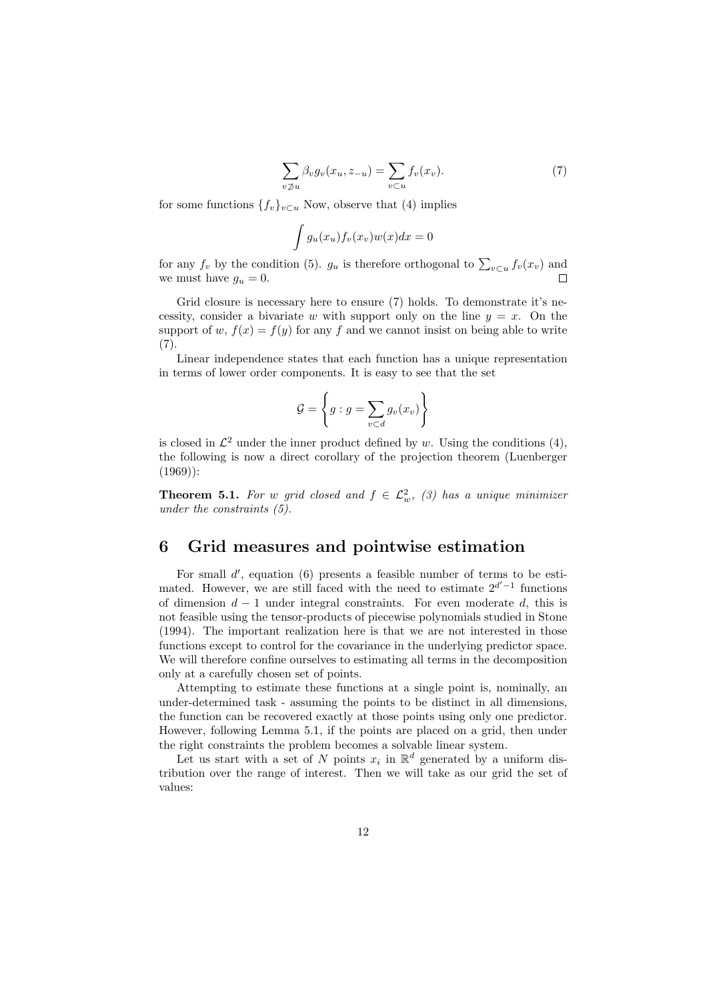$$
\sum_{v \not\supset u} \beta_v g_v(x_u, z_{-u}) = \sum_{v \subset u} f_v(x_v). \tag{7}
$$

for some functions  ${f_v}_{v\subset u}$  Now, observe that (4) implies

$$
\int g_u(x_u) f_v(x_v) w(x) dx = 0
$$

for any  $f_v$  by the condition (5).  $g_u$  is therefore orthogonal to  $\sum_{v \subset u} f_v(x_v)$  and we must have  $g_u = 0$ .  $\Box$ 

Grid closure is necessary here to ensure  $(7)$  holds. To demonstrate it's necessity, consider a bivariate w with support only on the line  $y = x$ . On the support of w,  $f(x) = f(y)$  for any f and we cannot insist on being able to write (7).

Linear independence states that each function has a unique representation in terms of lower order components. It is easy to see that the set

$$
\mathcal{G} = \left\{ g : g = \sum_{v \subset d} g_v(x_v) \right\}
$$

is closed in  $\mathcal{L}^2$  under the inner product defined by w. Using the conditions (4), the following is now a direct corollary of the projection theorem (Luenberger  $(1969)$ :

**Theorem 5.1.** For w grid closed and  $f \in \mathcal{L}^2_w$ , (3) has a unique minimizer under the constraints (5).

### 6 Grid measures and pointwise estimation

For small  $d'$ , equation  $(6)$  presents a feasible number of terms to be estimated. However, we are still faced with the need to estimate  $2^{d'-1}$  functions of dimension  $d-1$  under integral constraints. For even moderate d, this is not feasible using the tensor-products of piecewise polynomials studied in Stone (1994). The important realization here is that we are not interested in those functions except to control for the covariance in the underlying predictor space. We will therefore confine ourselves to estimating all terms in the decomposition only at a carefully chosen set of points.

Attempting to estimate these functions at a single point is, nominally, an under-determined task - assuming the points to be distinct in all dimensions, the function can be recovered exactly at those points using only one predictor. However, following Lemma 5.1, if the points are placed on a grid, then under the right constraints the problem becomes a solvable linear system.

Let us start with a set of N points  $x_i$  in  $\mathbb{R}^d$  generated by a uniform distribution over the range of interest. Then we will take as our grid the set of values: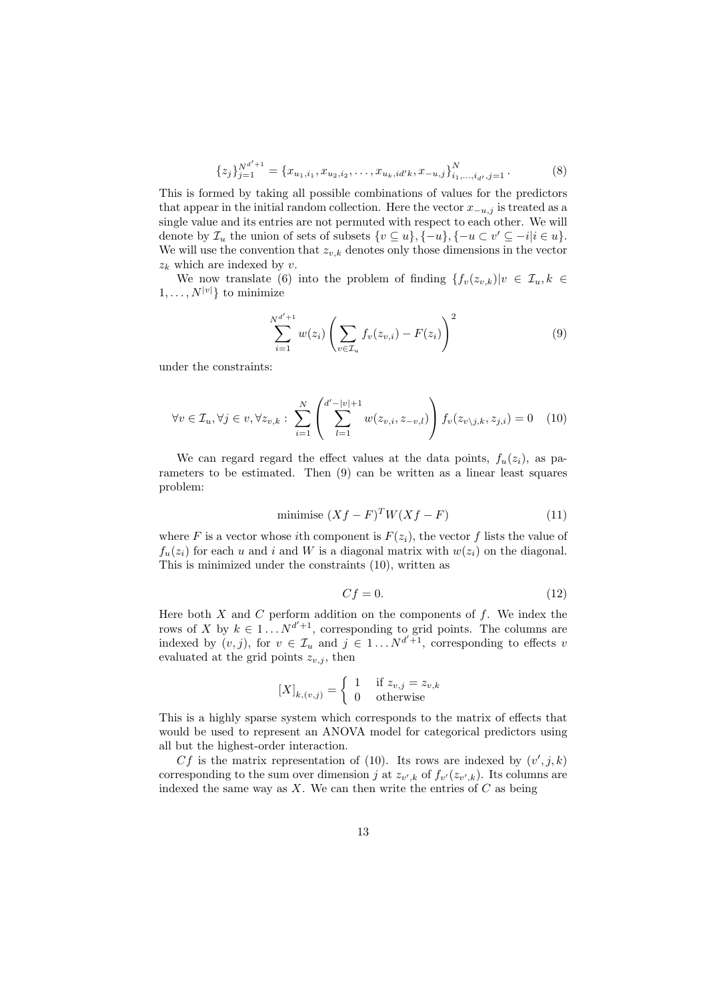$$
\{z_j\}_{j=1}^{N^{d'+1}} = \{x_{u_1,i_1}, x_{u_2,i_2}, \dots, x_{u_k, id'k}, x_{-u,j}\}_{i_1,\dots,i_{d'},j=1}^N. \tag{8}
$$

This is formed by taking all possible combinations of values for the predictors that appear in the initial random collection. Here the vector  $x_{-u,j}$  is treated as a single value and its entries are not permuted with respect to each other. We will denote by  $\mathcal{I}_u$  the union of sets of subsets  $\{v \subseteq u\}, \{-u\}, \{-u \subset v' \subseteq -i | i \in u\}.$ We will use the convention that  $z_{v,k}$  denotes only those dimensions in the vector  $z_k$  which are indexed by v.

We now translate (6) into the problem of finding  $\{f_v(z_{v,k})|v \in \mathcal{I}_u, k \in$  $1, \ldots, N^{|v|}$  to minimize

$$
\sum_{i=1}^{N^{d'+1}} w(z_i) \left( \sum_{v \in \mathcal{I}_u} f_v(z_{v,i}) - F(z_i) \right)^2 \tag{9}
$$

under the constraints:

$$
\forall v \in \mathcal{I}_u, \forall j \in v, \forall z_{v,k} : \sum_{i=1}^N \left( \sum_{l=1}^{d'-|v|+1} w(z_{v,i}, z_{-v,l}) \right) f_v(z_{v \setminus j,k}, z_{j,i}) = 0 \quad (10)
$$

We can regard regard the effect values at the data points,  $f_u(z_i)$ , as parameters to be estimated. Then (9) can be written as a linear least squares problem:

$$
\text{minimise } (Xf - F)^T W (Xf - F) \tag{11}
$$

where F is a vector whose ith component is  $F(z_i)$ , the vector f lists the value of  $f_u(z_i)$  for each u and i and W is a diagonal matrix with  $w(z_i)$  on the diagonal. This is minimized under the constraints (10), written as

$$
Cf = 0.\t\t(12)
$$

Here both  $X$  and  $C$  perform addition on the components of  $f$ . We index the rows of X by  $k \in 1...N^{d'+1}$ , corresponding to grid points. The columns are indexed by  $(v, j)$ , for  $v \in \mathcal{I}_u$  and  $j \in 1 \dots N^{d'+1}$ , corresponding to effects v evaluated at the grid points  $z_{v,i}$ , then

$$
[X]_{k,(v,j)} = \begin{cases} 1 & \text{if } z_{v,j} = z_{v,k} \\ 0 & \text{otherwise} \end{cases}
$$

This is a highly sparse system which corresponds to the matrix of effects that would be used to represent an ANOVA model for categorical predictors using all but the highest-order interaction.

Cf is the matrix representation of (10). Its rows are indexed by  $(v', j, k)$ corresponding to the sum over dimension j at  $z_{v',k}$  of  $f_{v'}(z_{v',k})$ . Its columns are indexed the same way as  $X$ . We can then write the entries of  $C$  as being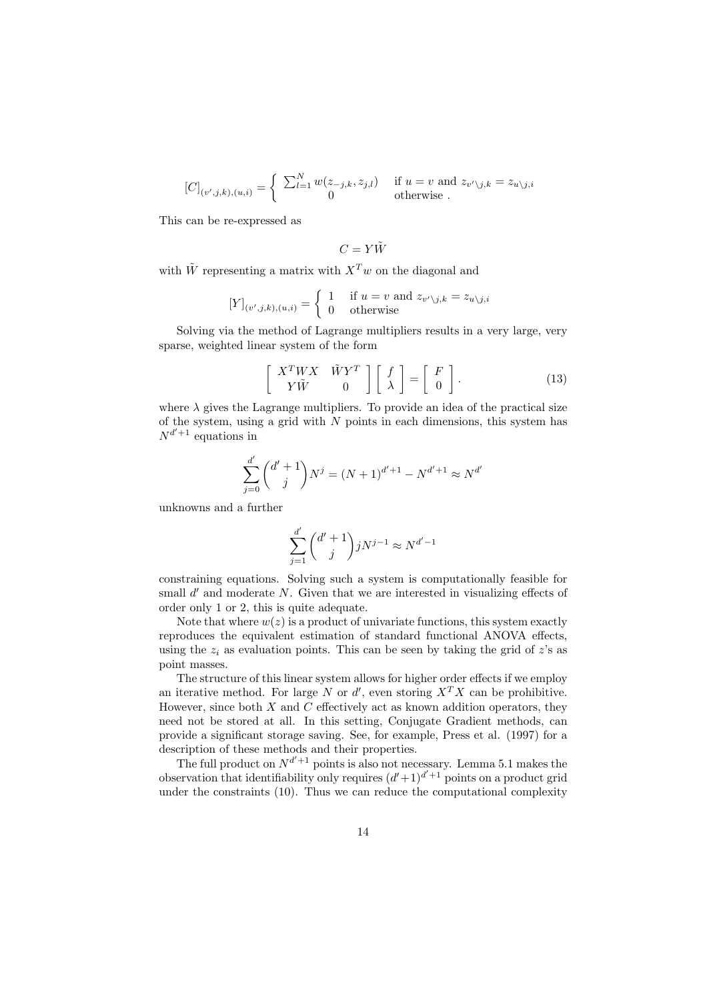$$
[C]_{(v',j,k),(u,i)} = \begin{cases} \sum_{l=1}^{N} w(z_{-j,k}, z_{j,l}) & \text{if } u = v \text{ and } z_{v'\backslash j,k} = z_{u\backslash j,i} \\ 0 & \text{otherwise.} \end{cases}
$$

This can be re-expressed as

$$
C=Y\tilde{W}
$$

with  $\tilde{W}$  representing a matrix with  $X^T w$  on the diagonal and

$$
[Y]_{(v',j,k),(u,i)} = \begin{cases} 1 & \text{if } u = v \text{ and } z_{v'\setminus j,k} = z_{u\setminus j,i} \\ 0 & \text{otherwise} \end{cases}
$$

Solving via the method of Lagrange multipliers results in a very large, very sparse, weighted linear system of the form

$$
\left[\begin{array}{cc} X^T W X & \tilde{W} Y^T \\ Y \tilde{W} & 0 \end{array}\right] \left[\begin{array}{c} f \\ \lambda \end{array}\right] = \left[\begin{array}{c} F \\ 0 \end{array}\right]. \tag{13}
$$

where  $\lambda$  gives the Lagrange multipliers. To provide an idea of the practical size of the system, using a grid with  $N$  points in each dimensions, this system has  $N^{d'+1}$  equations in

$$
\sum_{j=0}^{d'} {d'+1 \choose j} N^j = (N+1)^{d'+1} - N^{d'+1} \approx N^{d'}
$$

unknowns and a further

$$
\sum_{j=1}^{d'} \binom{d'+1}{j} j N^{j-1} \approx N^{d'-1}
$$

constraining equations. Solving such a system is computationally feasible for small  $d'$  and moderate N. Given that we are interested in visualizing effects of order only 1 or 2, this is quite adequate.

Note that where  $w(z)$  is a product of univariate functions, this system exactly reproduces the equivalent estimation of standard functional ANOVA effects, using the  $z_i$  as evaluation points. This can be seen by taking the grid of z's as point masses.

The structure of this linear system allows for higher order effects if we employ an iterative method. For large N or d', even storing  $X^T X$  can be prohibitive. However, since both  $X$  and  $C$  effectively act as known addition operators, they need not be stored at all. In this setting, Conjugate Gradient methods, can provide a significant storage saving. See, for example, Press et al. (1997) for a description of these methods and their properties.

The full product on  $N^{d'+1}$  points is also not necessary. Lemma 5.1 makes the observation that identifiability only requires  $(d'+1)^{d'+1}$  points on a product grid under the constraints (10). Thus we can reduce the computational complexity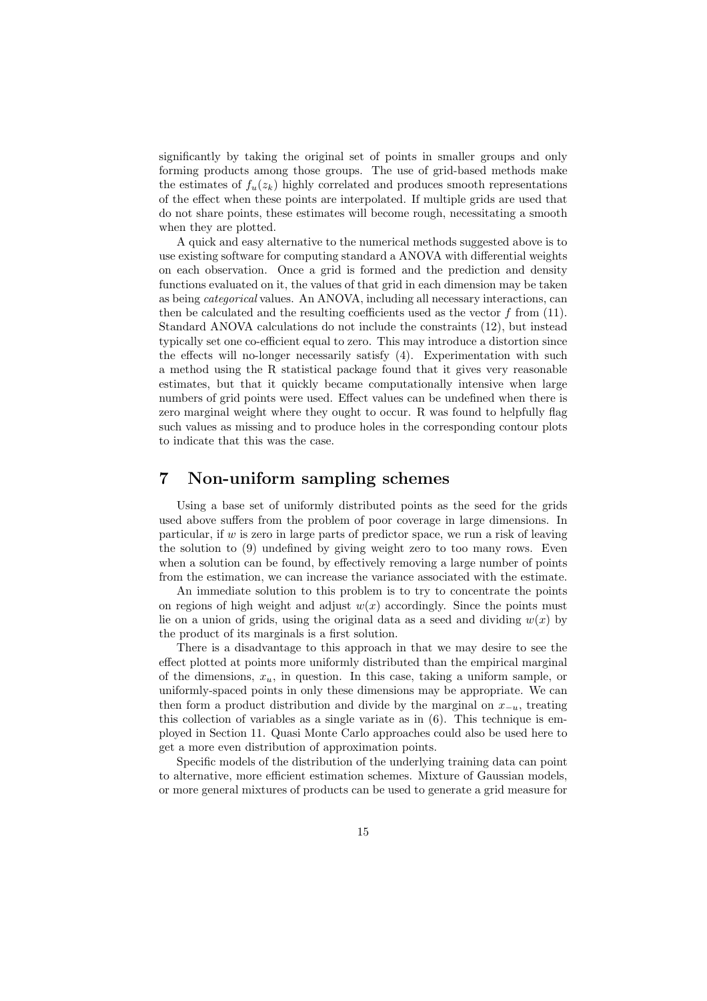significantly by taking the original set of points in smaller groups and only forming products among those groups. The use of grid-based methods make the estimates of  $f_u(z_k)$  highly correlated and produces smooth representations of the effect when these points are interpolated. If multiple grids are used that do not share points, these estimates will become rough, necessitating a smooth when they are plotted.

A quick and easy alternative to the numerical methods suggested above is to use existing software for computing standard a ANOVA with differential weights on each observation. Once a grid is formed and the prediction and density functions evaluated on it, the values of that grid in each dimension may be taken as being categorical values. An ANOVA, including all necessary interactions, can then be calculated and the resulting coefficients used as the vector  $f$  from  $(11)$ . Standard ANOVA calculations do not include the constraints (12), but instead typically set one co-efficient equal to zero. This may introduce a distortion since the effects will no-longer necessarily satisfy (4). Experimentation with such a method using the R statistical package found that it gives very reasonable estimates, but that it quickly became computationally intensive when large numbers of grid points were used. Effect values can be undefined when there is zero marginal weight where they ought to occur. R was found to helpfully flag such values as missing and to produce holes in the corresponding contour plots to indicate that this was the case.

### 7 Non-uniform sampling schemes

Using a base set of uniformly distributed points as the seed for the grids used above suffers from the problem of poor coverage in large dimensions. In particular, if w is zero in large parts of predictor space, we run a risk of leaving the solution to (9) undefined by giving weight zero to too many rows. Even when a solution can be found, by effectively removing a large number of points from the estimation, we can increase the variance associated with the estimate.

An immediate solution to this problem is to try to concentrate the points on regions of high weight and adjust  $w(x)$  accordingly. Since the points must lie on a union of grids, using the original data as a seed and dividing  $w(x)$  by the product of its marginals is a first solution.

There is a disadvantage to this approach in that we may desire to see the effect plotted at points more uniformly distributed than the empirical marginal of the dimensions,  $x_u$ , in question. In this case, taking a uniform sample, or uniformly-spaced points in only these dimensions may be appropriate. We can then form a product distribution and divide by the marginal on  $x_{-u}$ , treating this collection of variables as a single variate as in (6). This technique is employed in Section 11. Quasi Monte Carlo approaches could also be used here to get a more even distribution of approximation points.

Specific models of the distribution of the underlying training data can point to alternative, more efficient estimation schemes. Mixture of Gaussian models, or more general mixtures of products can be used to generate a grid measure for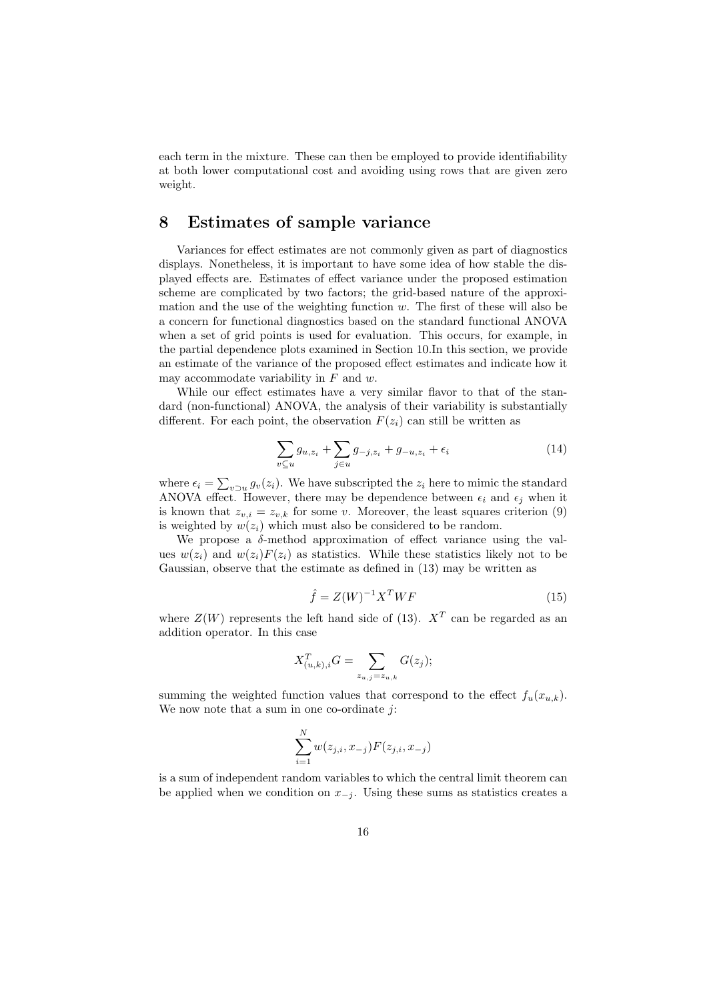each term in the mixture. These can then be employed to provide identifiability at both lower computational cost and avoiding using rows that are given zero weight.

### 8 Estimates of sample variance

Variances for effect estimates are not commonly given as part of diagnostics displays. Nonetheless, it is important to have some idea of how stable the displayed effects are. Estimates of effect variance under the proposed estimation scheme are complicated by two factors; the grid-based nature of the approximation and the use of the weighting function w. The first of these will also be a concern for functional diagnostics based on the standard functional ANOVA when a set of grid points is used for evaluation. This occurs, for example, in the partial dependence plots examined in Section 10.In this section, we provide an estimate of the variance of the proposed effect estimates and indicate how it may accommodate variability in  $F$  and  $w$ .

While our effect estimates have a very similar flavor to that of the standard (non-functional) ANOVA, the analysis of their variability is substantially different. For each point, the observation  $F(z_i)$  can still be written as

$$
\sum_{v \subseteq u} g_{u, z_i} + \sum_{j \in u} g_{-j, z_i} + g_{-u, z_i} + \epsilon_i \tag{14}
$$

where  $\epsilon_i = \sum$  $v\supset u g_v(z_i)$ . We have subscripted the  $z_i$  here to mimic the standard ANOVA effect. However, there may be dependence between  $\epsilon_i$  and  $\epsilon_j$  when it is known that  $z_{v,i} = z_{v,k}$  for some v. Moreover, the least squares criterion (9) is weighted by  $w(z_i)$  which must also be considered to be random.

We propose a  $\delta$ -method approximation of effect variance using the values  $w(z_i)$  and  $w(z_i)F(z_i)$  as statistics. While these statistics likely not to be Gaussian, observe that the estimate as defined in (13) may be written as

$$
\hat{f} = Z(W)^{-1}X^TWF\tag{15}
$$

where  $Z(W)$  represents the left hand side of (13).  $X<sup>T</sup>$  can be regarded as an addition operator. In this case

$$
X_{(u,k),i}^T G = \sum_{z_{u,j}=z_{u,k}} G(z_j);
$$

summing the weighted function values that correspond to the effect  $f_u(x_{u,k})$ . We now note that a sum in one co-ordinate  $j$ :

$$
\sum_{i=1}^{N} w(z_{j,i}, x_{-j}) F(z_{j,i}, x_{-j})
$$

is a sum of independent random variables to which the central limit theorem can be applied when we condition on  $x_{-j}$ . Using these sums as statistics creates a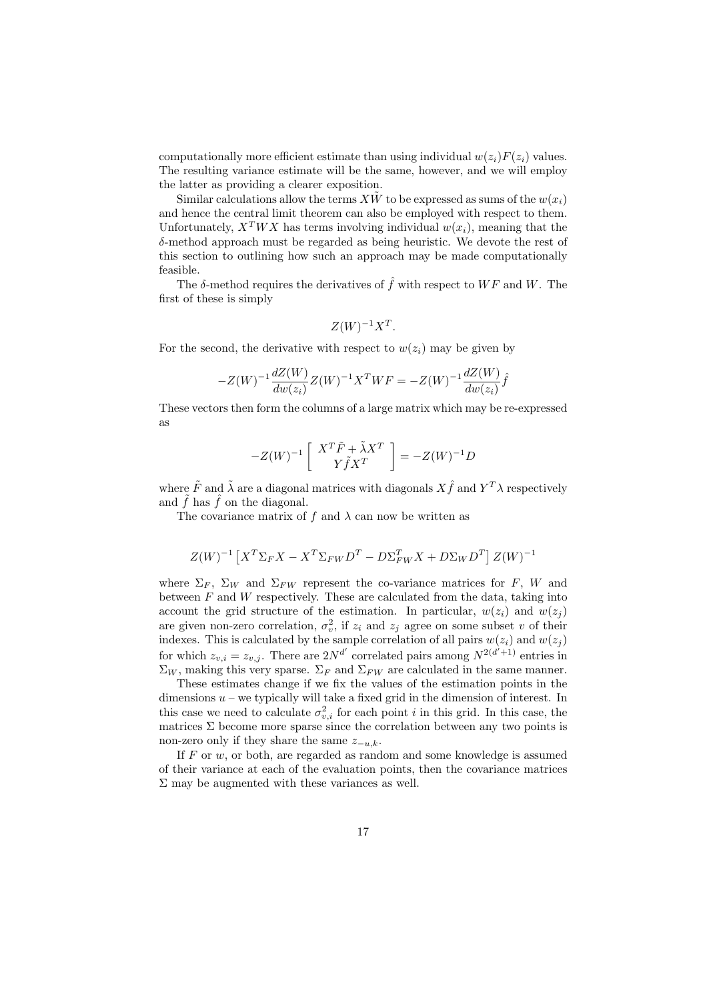computationally more efficient estimate than using individual  $w(z_i)F(z_i)$  values. The resulting variance estimate will be the same, however, and we will employ the latter as providing a clearer exposition.

Similar calculations allow the terms  $X\tilde{W}$  to be expressed as sums of the  $w(x_i)$ and hence the central limit theorem can also be employed with respect to them. Unfortunately,  $X^TWX$  has terms involving individual  $w(x_i)$ , meaning that the δ-method approach must be regarded as being heuristic. We devote the rest of this section to outlining how such an approach may be made computationally feasible.

The  $\delta$ -method requires the derivatives of  $\hat{f}$  with respect to WF and W. The first of these is simply

$$
Z(W)^{-1}X^T.
$$

For the second, the derivative with respect to  $w(z_i)$  may be given by

$$
-Z(W)^{-1} \frac{dZ(W)}{dw(z_i)} Z(W)^{-1} X^T W F = -Z(W)^{-1} \frac{dZ(W)}{dw(z_i)} \hat{f}
$$

These vectors then form the columns of a large matrix which may be re-expressed as

$$
-Z(W)^{-1} \left[ \begin{array}{c} X^T \tilde{F} + \tilde{\lambda} X^T \\ Y \tilde{f} X^T \end{array} \right] = -Z(W)^{-1} D
$$

where  $\tilde{F}$  and  $\tilde{\lambda}$  are a diagonal matrices with diagonals  $X\hat{f}$  and  $Y^T\lambda$  respectively and  $\tilde{f}$  has  $\hat{f}$  on the diagonal.

The covariance matrix of f and  $\lambda$  can now be written as

$$
Z(W)^{-1}\left[X^T \Sigma_F X - X^T \Sigma_{FW} D^T - D \Sigma_{FW}^T X + D \Sigma_W D^T\right] Z(W)^{-1}
$$

where  $\Sigma_F$ ,  $\Sigma_W$  and  $\Sigma_{FW}$  represent the co-variance matrices for F, W and between  $F$  and  $W$  respectively. These are calculated from the data, taking into account the grid structure of the estimation. In particular,  $w(z_i)$  and  $w(z_i)$ are given non-zero correlation,  $\sigma_v^2$ , if  $z_i$  and  $z_j$  agree on some subset v of their indexes. This is calculated by the sample correlation of all pairs  $w(z_i)$  and  $w(z_i)$ for which  $z_{v,i} = z_{v,j}$ . There are  $2N^{d'}$  correlated pairs among  $N^{2(d'+1)}$  entries in  $\Sigma_W$ , making this very sparse.  $\Sigma_F$  and  $\Sigma_{FW}$  are calculated in the same manner.

These estimates change if we fix the values of the estimation points in the dimensions  $u$  – we typically will take a fixed grid in the dimension of interest. In this case we need to calculate  $\sigma_{v,i}^2$  for each point i in this grid. In this case, the matrices  $\Sigma$  become more sparse since the correlation between any two points is non-zero only if they share the same  $z_{-u,k}$ .

If  $F$  or  $w$ , or both, are regarded as random and some knowledge is assumed of their variance at each of the evaluation points, then the covariance matrices  $\Sigma$  may be augmented with these variances as well.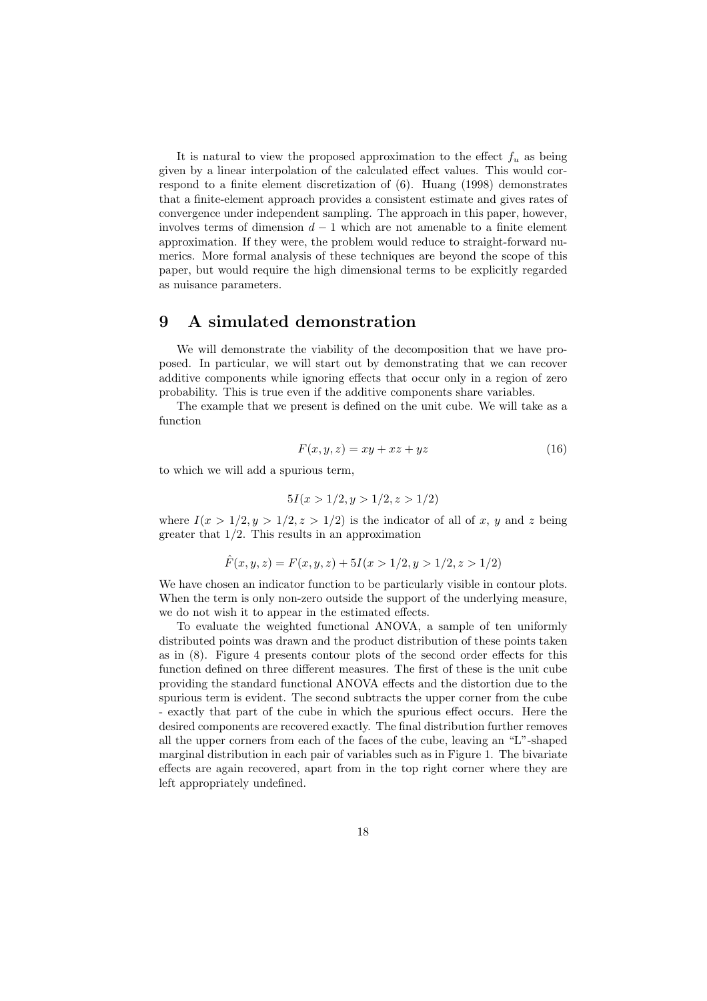It is natural to view the proposed approximation to the effect  $f_u$  as being given by a linear interpolation of the calculated effect values. This would correspond to a finite element discretization of (6). Huang (1998) demonstrates that a finite-element approach provides a consistent estimate and gives rates of convergence under independent sampling. The approach in this paper, however, involves terms of dimension  $d-1$  which are not amenable to a finite element approximation. If they were, the problem would reduce to straight-forward numerics. More formal analysis of these techniques are beyond the scope of this paper, but would require the high dimensional terms to be explicitly regarded as nuisance parameters.

### 9 A simulated demonstration

We will demonstrate the viability of the decomposition that we have proposed. In particular, we will start out by demonstrating that we can recover additive components while ignoring effects that occur only in a region of zero probability. This is true even if the additive components share variables.

The example that we present is defined on the unit cube. We will take as a function

$$
F(x, y, z) = xy + xz + yz \tag{16}
$$

to which we will add a spurious term,

$$
5I(x > 1/2, y > 1/2, z > 1/2)
$$

where  $I(x > 1/2, y > 1/2, z > 1/2)$  is the indicator of all of x, y and z being greater that  $1/2$ . This results in an approximation

$$
\hat{F}(x, y, z) = F(x, y, z) + 5I(x > 1/2, y > 1/2, z > 1/2)
$$

We have chosen an indicator function to be particularly visible in contour plots. When the term is only non-zero outside the support of the underlying measure, we do not wish it to appear in the estimated effects.

To evaluate the weighted functional ANOVA, a sample of ten uniformly distributed points was drawn and the product distribution of these points taken as in (8). Figure 4 presents contour plots of the second order effects for this function defined on three different measures. The first of these is the unit cube providing the standard functional ANOVA effects and the distortion due to the spurious term is evident. The second subtracts the upper corner from the cube - exactly that part of the cube in which the spurious effect occurs. Here the desired components are recovered exactly. The final distribution further removes all the upper corners from each of the faces of the cube, leaving an "L"-shaped marginal distribution in each pair of variables such as in Figure 1. The bivariate effects are again recovered, apart from in the top right corner where they are left appropriately undefined.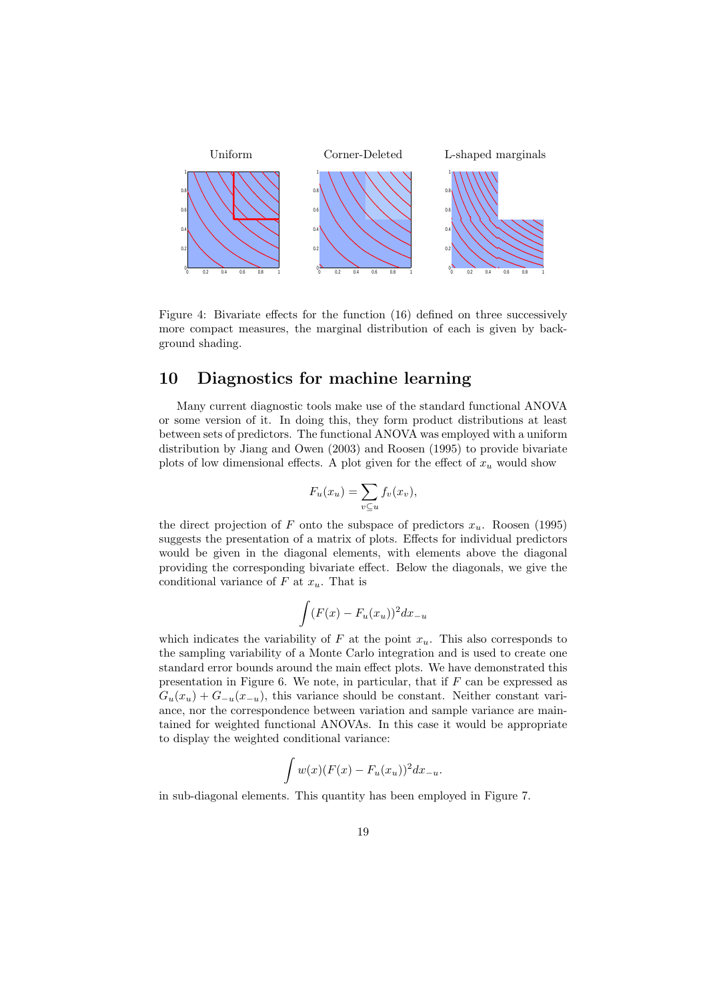

Figure 4: Bivariate effects for the function (16) defined on three successively more compact measures, the marginal distribution of each is given by background shading.

### 10 Diagnostics for machine learning

Many current diagnostic tools make use of the standard functional ANOVA or some version of it. In doing this, they form product distributions at least between sets of predictors. The functional ANOVA was employed with a uniform distribution by Jiang and Owen (2003) and Roosen (1995) to provide bivariate plots of low dimensional effects. A plot given for the effect of  $x<sub>u</sub>$  would show

$$
F_u(x_u) = \sum_{v \subseteq u} f_v(x_v),
$$

the direct projection of F onto the subspace of predictors  $x_u$ . Roosen (1995) suggests the presentation of a matrix of plots. Effects for individual predictors would be given in the diagonal elements, with elements above the diagonal providing the corresponding bivariate effect. Below the diagonals, we give the conditional variance of F at  $x_u$ . That is

$$
\int (F(x) - F_u(x_u))^2 dx_{-u}
$$

which indicates the variability of  $F$  at the point  $x_u$ . This also corresponds to the sampling variability of a Monte Carlo integration and is used to create one standard error bounds around the main effect plots. We have demonstrated this presentation in Figure 6. We note, in particular, that if  $F$  can be expressed as  $G_u(x_u) + G_{-u}(x_{-u})$ , this variance should be constant. Neither constant variance, nor the correspondence between variation and sample variance are maintained for weighted functional ANOVAs. In this case it would be appropriate to display the weighted conditional variance:

$$
\int w(x)(F(x) - F_u(x_u))^2 dx_{-u}.
$$

in sub-diagonal elements. This quantity has been employed in Figure 7.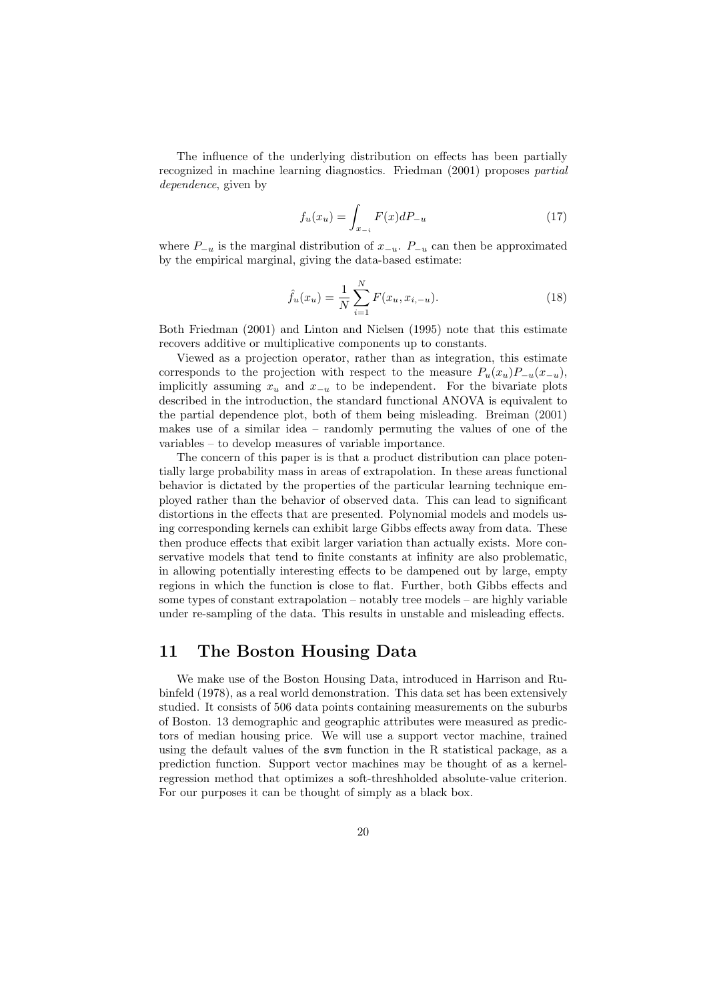The influence of the underlying distribution on effects has been partially recognized in machine learning diagnostics. Friedman (2001) proposes partial dependence, given by

$$
f_u(x_u) = \int_{x_{-i}} F(x) dP_{-u}
$$
 (17)

where  $P_{-u}$  is the marginal distribution of  $x_{-u}$ .  $P_{-u}$  can then be approximated by the empirical marginal, giving the data-based estimate:

$$
\hat{f}_u(x_u) = \frac{1}{N} \sum_{i=1}^{N} F(x_u, x_{i, -u}).
$$
\n(18)

Both Friedman (2001) and Linton and Nielsen (1995) note that this estimate recovers additive or multiplicative components up to constants.

Viewed as a projection operator, rather than as integration, this estimate corresponds to the projection with respect to the measure  $P_u(x_u)P_{-u}(x_{-u}),$ implicitly assuming  $x_u$  and  $x_{-u}$  to be independent. For the bivariate plots described in the introduction, the standard functional ANOVA is equivalent to the partial dependence plot, both of them being misleading. Breiman (2001) makes use of a similar idea – randomly permuting the values of one of the variables – to develop measures of variable importance.

The concern of this paper is is that a product distribution can place potentially large probability mass in areas of extrapolation. In these areas functional behavior is dictated by the properties of the particular learning technique employed rather than the behavior of observed data. This can lead to significant distortions in the effects that are presented. Polynomial models and models using corresponding kernels can exhibit large Gibbs effects away from data. These then produce effects that exibit larger variation than actually exists. More conservative models that tend to finite constants at infinity are also problematic, in allowing potentially interesting effects to be dampened out by large, empty regions in which the function is close to flat. Further, both Gibbs effects and some types of constant extrapolation – notably tree models – are highly variable under re-sampling of the data. This results in unstable and misleading effects.

## 11 The Boston Housing Data

We make use of the Boston Housing Data, introduced in Harrison and Rubinfeld (1978), as a real world demonstration. This data set has been extensively studied. It consists of 506 data points containing measurements on the suburbs of Boston. 13 demographic and geographic attributes were measured as predictors of median housing price. We will use a support vector machine, trained using the default values of the svm function in the R statistical package, as a prediction function. Support vector machines may be thought of as a kernelregression method that optimizes a soft-threshholded absolute-value criterion. For our purposes it can be thought of simply as a black box.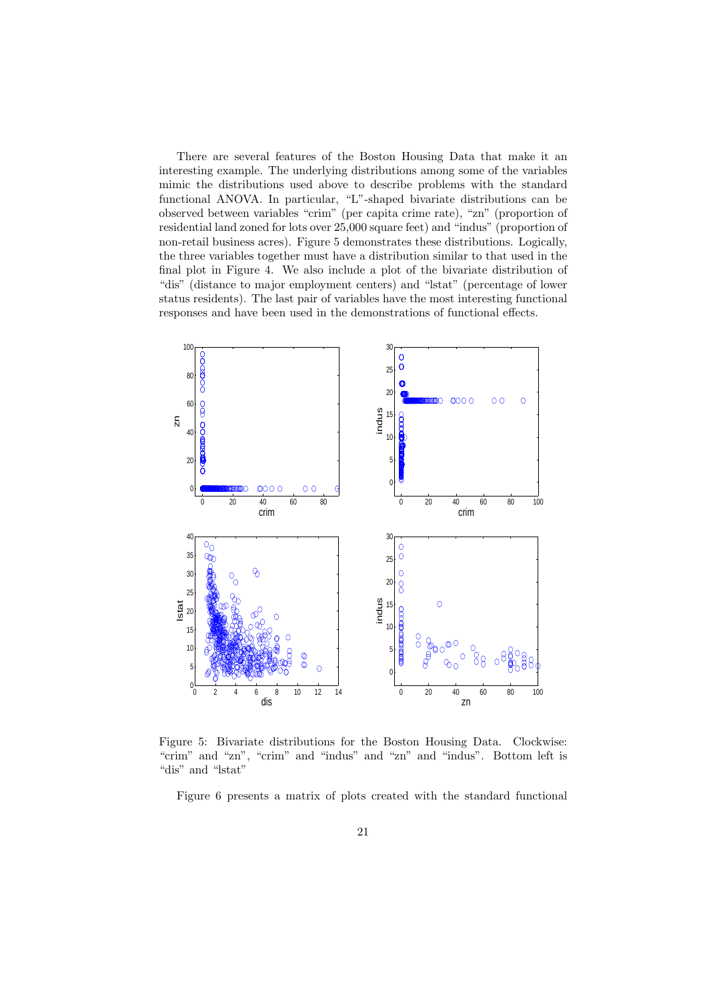There are several features of the Boston Housing Data that make it an interesting example. The underlying distributions among some of the variables mimic the distributions used above to describe problems with the standard functional ANOVA. In particular, "L"-shaped bivariate distributions can be observed between variables "crim" (per capita crime rate), "zn" (proportion of residential land zoned for lots over 25,000 square feet) and "indus" (proportion of non-retail business acres). Figure 5 demonstrates these distributions. Logically, the three variables together must have a distribution similar to that used in the final plot in Figure 4. We also include a plot of the bivariate distribution of "dis" (distance to major employment centers) and "lstat" (percentage of lower status residents). The last pair of variables have the most interesting functional responses and have been used in the demonstrations of functional effects.



Figure 5: Bivariate distributions for the Boston Housing Data. Clockwise: "crim" and "zn", "crim" and "indus" and "zn" and "indus". Bottom left is "dis" and "lstat"

Figure 6 presents a matrix of plots created with the standard functional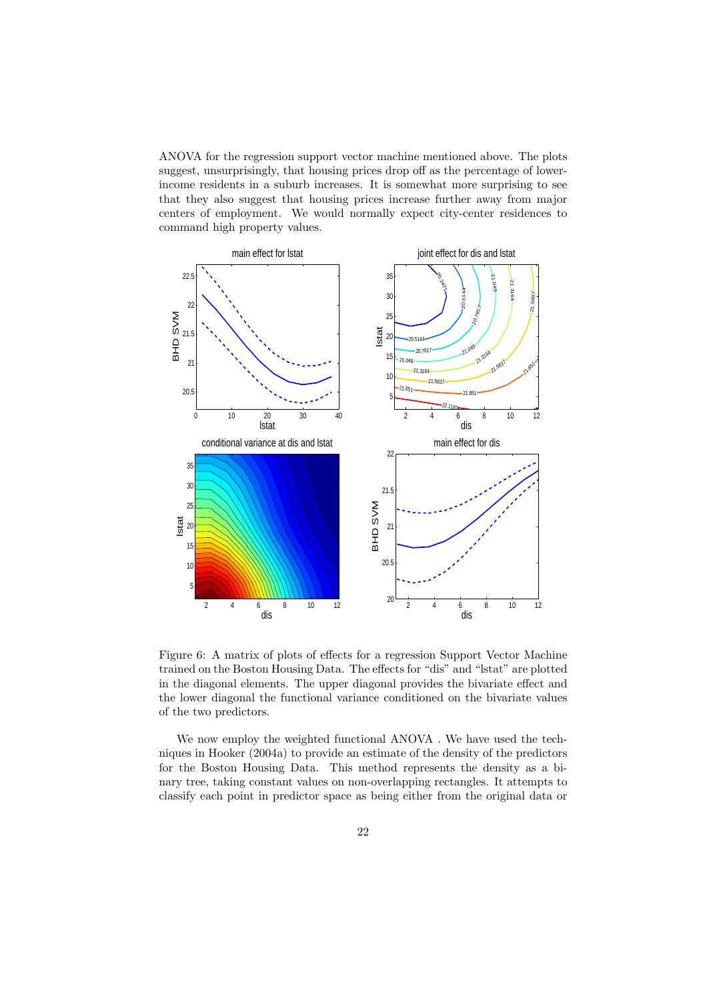ANOVA for the regression support vector machine mentioned above. The plots suggest, unsurprisingly, that housing prices drop off as the percentage of lowerincome residents in a suburb increases. It is somewhat more surprising to see that they also suggest that housing prices increase further away from major centers of employment. We would normally expect city-center residences to command high property values.



Figure 6: A matrix of plots of effects for a regression Support Vector Machine trained on the Boston Housing Data. The effects for "dis" and "lstat" are plotted in the diagonal elements. The upper diagonal provides the bivariate effect and the lower diagonal the functional variance conditioned on the bivariate values of the two predictors.

We now employ the weighted functional ANOVA . We have used the techniques in Hooker (2004a) to provide an estimate of the density of the predictors for the Boston Housing Data. This method represents the density as a binary tree, taking constant values on non-overlapping rectangles. It attempts to classify each point in predictor space as being either from the original data or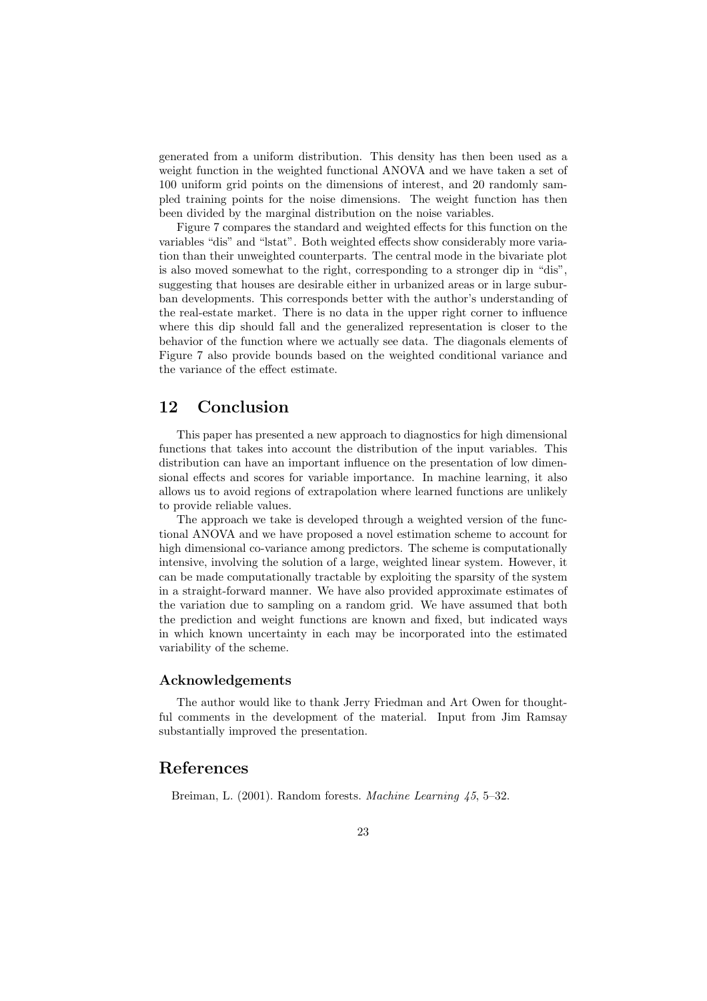generated from a uniform distribution. This density has then been used as a weight function in the weighted functional ANOVA and we have taken a set of 100 uniform grid points on the dimensions of interest, and 20 randomly sampled training points for the noise dimensions. The weight function has then been divided by the marginal distribution on the noise variables.

Figure 7 compares the standard and weighted effects for this function on the variables "dis" and "lstat". Both weighted effects show considerably more variation than their unweighted counterparts. The central mode in the bivariate plot is also moved somewhat to the right, corresponding to a stronger dip in "dis", suggesting that houses are desirable either in urbanized areas or in large suburban developments. This corresponds better with the author's understanding of the real-estate market. There is no data in the upper right corner to influence where this dip should fall and the generalized representation is closer to the behavior of the function where we actually see data. The diagonals elements of Figure 7 also provide bounds based on the weighted conditional variance and the variance of the effect estimate.

### 12 Conclusion

This paper has presented a new approach to diagnostics for high dimensional functions that takes into account the distribution of the input variables. This distribution can have an important influence on the presentation of low dimensional effects and scores for variable importance. In machine learning, it also allows us to avoid regions of extrapolation where learned functions are unlikely to provide reliable values.

The approach we take is developed through a weighted version of the functional ANOVA and we have proposed a novel estimation scheme to account for high dimensional co-variance among predictors. The scheme is computationally intensive, involving the solution of a large, weighted linear system. However, it can be made computationally tractable by exploiting the sparsity of the system in a straight-forward manner. We have also provided approximate estimates of the variation due to sampling on a random grid. We have assumed that both the prediction and weight functions are known and fixed, but indicated ways in which known uncertainty in each may be incorporated into the estimated variability of the scheme.

#### Acknowledgements

The author would like to thank Jerry Friedman and Art Owen for thoughtful comments in the development of the material. Input from Jim Ramsay substantially improved the presentation.

# References

Breiman, L. (2001). Random forests. *Machine Learning* 45, 5–32.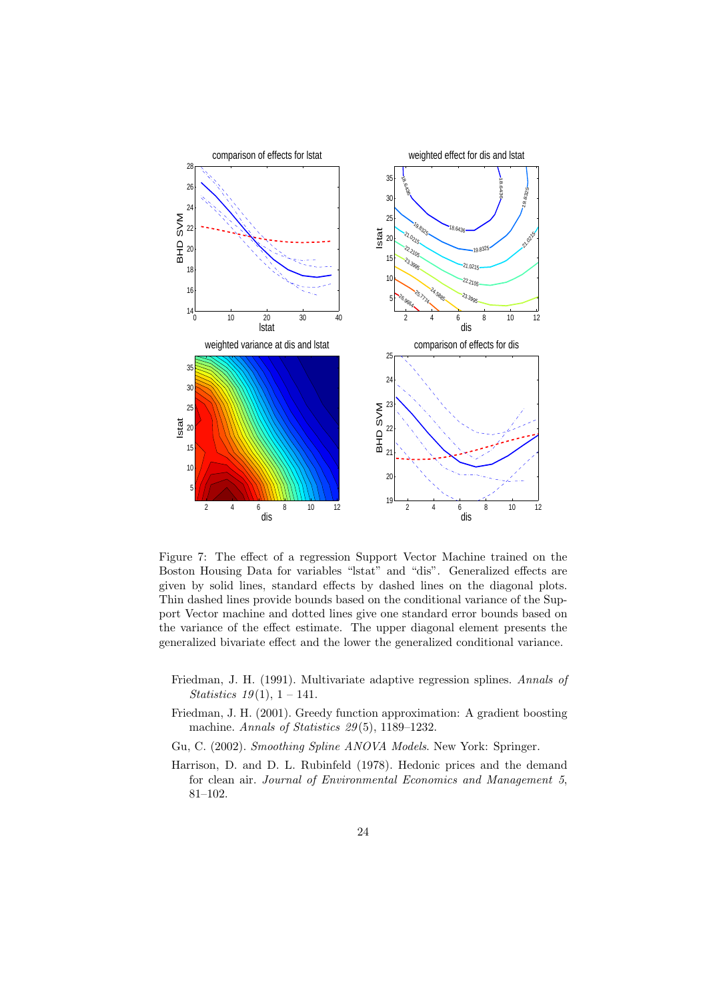

Figure 7: The effect of a regression Support Vector Machine trained on the Boston Housing Data for variables "lstat" and "dis". Generalized effects are given by solid lines, standard effects by dashed lines on the diagonal plots. Thin dashed lines provide bounds based on the conditional variance of the Support Vector machine and dotted lines give one standard error bounds based on the variance of the effect estimate. The upper diagonal element presents the generalized bivariate effect and the lower the generalized conditional variance.

- Friedman, J. H. (1991). Multivariate adaptive regression splines. Annals of *Statistics*  $19(1)$ ,  $1 - 141$ .
- Friedman, J. H. (2001). Greedy function approximation: A gradient boosting machine. Annals of Statistics 29 (5), 1189–1232.
- Gu, C. (2002). Smoothing Spline ANOVA Models. New York: Springer.
- Harrison, D. and D. L. Rubinfeld (1978). Hedonic prices and the demand for clean air. Journal of Environmental Economics and Management 5, 81–102.